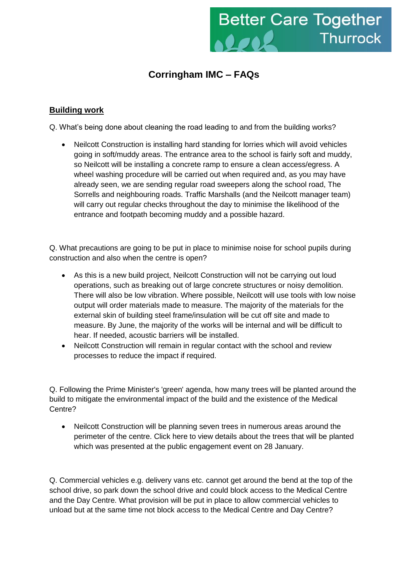

# **Corringham IMC – FAQs**

## **Building work**

Q. What's being done about cleaning the road leading to and from the building works?

• Neilcott Construction is installing hard standing for lorries which will avoid vehicles going in soft/muddy areas. The entrance area to the school is fairly soft and muddy, so Neilcott will be installing a concrete ramp to ensure a clean access/egress. A wheel washing procedure will be carried out when required and, as you may have already seen, we are sending regular road sweepers along the school road, The Sorrells and neighbouring roads. Traffic Marshalls (and the Neilcott manager team) will carry out regular checks throughout the day to minimise the likelihood of the entrance and footpath becoming muddy and a possible hazard.

Q. What precautions are going to be put in place to minimise noise for school pupils during construction and also when the centre is open?

- As this is a new build project, Neilcott Construction will not be carrying out loud operations, such as breaking out of large concrete structures or noisy demolition. There will also be low vibration. Where possible, Neilcott will use tools with low noise output will order materials made to measure. The majority of the materials for the external skin of building steel frame/insulation will be cut off site and made to measure. By June, the majority of the works will be internal and will be difficult to hear. If needed, acoustic barriers will be installed.
- Neilcott Construction will remain in regular contact with the school and review processes to reduce the impact if required.

Q. Following the Prime Minister's 'green' agenda, how many trees will be planted around the build to mitigate the environmental impact of the build and the existence of the Medical Centre?

 Neilcott Construction will be planning seven trees in numerous areas around the perimeter of the centre. Click here to view details about the trees that will be planted which was presented at the public engagement event on 28 January.

Q. Commercial vehicles e.g. delivery vans etc. cannot get around the bend at the top of the school drive, so park down the school drive and could block access to the Medical Centre and the Day Centre. What provision will be put in place to allow commercial vehicles to unload but at the same time not block access to the Medical Centre and Day Centre?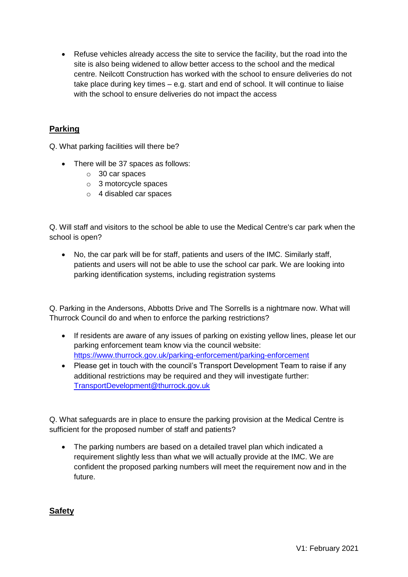• Refuse vehicles already access the site to service the facility, but the road into the site is also being widened to allow better access to the school and the medical centre. Neilcott Construction has worked with the school to ensure deliveries do not take place during key times – e.g. start and end of school. It will continue to liaise with the school to ensure deliveries do not impact the access

## **Parking**

Q. What parking facilities will there be?

- There will be 37 spaces as follows:
	- o 30 car spaces
	- o 3 motorcycle spaces
	- o 4 disabled car spaces

Q. Will staff and visitors to the school be able to use the Medical Centre's car park when the school is open?

 No, the car park will be for staff, patients and users of the IMC. Similarly staff, patients and users will not be able to use the school car park. We are looking into parking identification systems, including registration systems

Q. Parking in the Andersons, Abbotts Drive and The Sorrells is a nightmare now. What will Thurrock Council do and when to enforce the parking restrictions?

- If residents are aware of any issues of parking on existing yellow lines, please let our parking enforcement team know via the council website: <https://www.thurrock.gov.uk/parking-enforcement/parking-enforcement>
- Please get in touch with the council's Transport Development Team to raise if any additional restrictions may be required and they will investigate further: [TransportDevelopment@thurrock.gov.uk](mailto:TransportDevelopment@thurrock.gov.uk)

Q. What safeguards are in place to ensure the parking provision at the Medical Centre is sufficient for the proposed number of staff and patients?

• The parking numbers are based on a detailed travel plan which indicated a requirement slightly less than what we will actually provide at the IMC. We are confident the proposed parking numbers will meet the requirement now and in the future.

**Safety**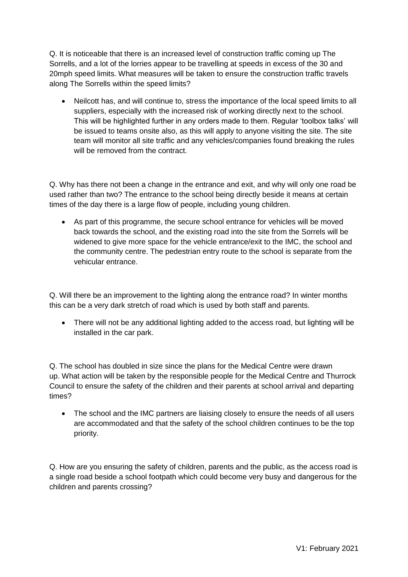Q. It is noticeable that there is an increased level of construction traffic coming up The Sorrells, and a lot of the lorries appear to be travelling at speeds in excess of the 30 and 20mph speed limits. What measures will be taken to ensure the construction traffic travels along The Sorrells within the speed limits?

 Neilcott has, and will continue to, stress the importance of the local speed limits to all suppliers, especially with the increased risk of working directly next to the school. This will be highlighted further in any orders made to them. Regular 'toolbox talks' will be issued to teams onsite also, as this will apply to anyone visiting the site. The site team will monitor all site traffic and any vehicles/companies found breaking the rules will be removed from the contract.

Q. Why has there not been a change in the entrance and exit, and why will only one road be used rather than two? The entrance to the school being directly beside it means at certain times of the day there is a large flow of people, including young children.

 As part of this programme, the secure school entrance for vehicles will be moved back towards the school, and the existing road into the site from the Sorrels will be widened to give more space for the vehicle entrance/exit to the IMC, the school and the community centre. The pedestrian entry route to the school is separate from the vehicular entrance.

Q. Will there be an improvement to the lighting along the entrance road? In winter months this can be a very dark stretch of road which is used by both staff and parents.

 There will not be any additional lighting added to the access road, but lighting will be installed in the car park.

Q. The school has doubled in size since the plans for the Medical Centre were drawn up. What action will be taken by the responsible people for the Medical Centre and Thurrock Council to ensure the safety of the children and their parents at school arrival and departing times?

• The school and the IMC partners are liaising closely to ensure the needs of all users are accommodated and that the safety of the school children continues to be the top priority.

Q. How are you ensuring the safety of children, parents and the public, as the access road is a single road beside a school footpath which could become very busy and dangerous for the children and parents crossing?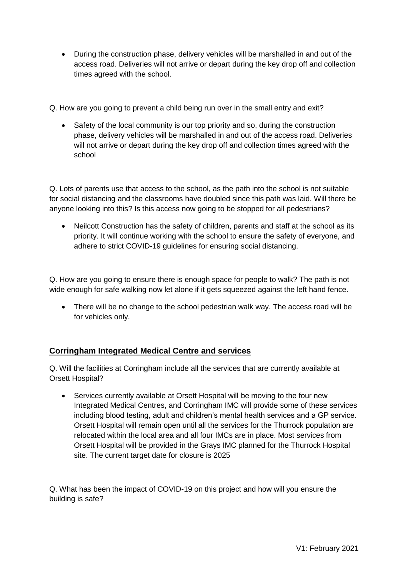During the construction phase, delivery vehicles will be marshalled in and out of the access road. Deliveries will not arrive or depart during the key drop off and collection times agreed with the school.

Q. How are you going to prevent a child being run over in the small entry and exit?

• Safety of the local community is our top priority and so, during the construction phase, delivery vehicles will be marshalled in and out of the access road. Deliveries will not arrive or depart during the key drop off and collection times agreed with the school

Q. Lots of parents use that access to the school, as the path into the school is not suitable for social distancing and the classrooms have doubled since this path was laid. Will there be anyone looking into this? Is this access now going to be stopped for all pedestrians?

• Neilcott Construction has the safety of children, parents and staff at the school as its priority. It will continue working with the school to ensure the safety of everyone, and adhere to strict COVID-19 guidelines for ensuring social distancing.

Q. How are you going to ensure there is enough space for people to walk? The path is not wide enough for safe walking now let alone if it gets squeezed against the left hand fence.

• There will be no change to the school pedestrian walk way. The access road will be for vehicles only.

# **Corringham Integrated Medical Centre and services**

Q. Will the facilities at Corringham include all the services that are currently available at Orsett Hospital?

 Services currently available at Orsett Hospital will be moving to the four new Integrated Medical Centres, and Corringham IMC will provide some of these services including blood testing, adult and children's mental health services and a GP service. Orsett Hospital will remain open until all the services for the Thurrock population are relocated within the local area and all four IMCs are in place. Most services from Orsett Hospital will be provided in the Grays IMC planned for the Thurrock Hospital site. The current target date for closure is 2025

Q. What has been the impact of COVID-19 on this project and how will you ensure the building is safe?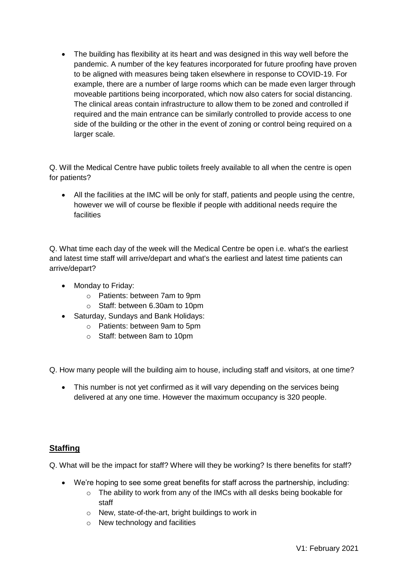The building has flexibility at its heart and was designed in this way well before the pandemic. A number of the key features incorporated for future proofing have proven to be aligned with measures being taken elsewhere in response to COVID-19. For example, there are a number of large rooms which can be made even larger through moveable partitions being incorporated, which now also caters for social distancing. The clinical areas contain infrastructure to allow them to be zoned and controlled if required and the main entrance can be similarly controlled to provide access to one side of the building or the other in the event of zoning or control being required on a larger scale.

Q. Will the Medical Centre have public toilets freely available to all when the centre is open for patients?

 All the facilities at the IMC will be only for staff, patients and people using the centre, however we will of course be flexible if people with additional needs require the facilities

Q. What time each day of the week will the Medical Centre be open i.e. what's the earliest and latest time staff will arrive/depart and what's the earliest and latest time patients can arrive/depart?

- Monday to Friday:
	- o Patients: between 7am to 9pm
	- o Staff: between 6.30am to 10pm
- Saturday, Sundays and Bank Holidays:
	- o Patients: between 9am to 5pm
	- o Staff: between 8am to 10pm
- Q. How many people will the building aim to house, including staff and visitors, at one time?
	- This number is not yet confirmed as it will vary depending on the services being delivered at any one time. However the maximum occupancy is 320 people.

## **Staffing**

Q. What will be the impact for staff? Where will they be working? Is there benefits for staff?

- We're hoping to see some great benefits for staff across the partnership, including:
	- $\circ$  The ability to work from any of the IMCs with all desks being bookable for staff
	- o New, state-of-the-art, bright buildings to work in
	- o New technology and facilities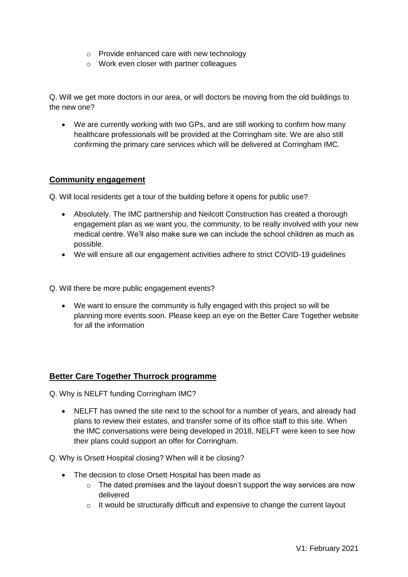- o Provide enhanced care with new technology
- o Work even closer with partner colleagues

Q. Will we get more doctors in our area, or will doctors be moving from the old buildings to the new one?

 We are currently working with two GPs, and are still working to confirm how many healthcare professionals will be provided at the Corringham site. We are also still confirming the primary care services which will be delivered at Corringham IMC.

## **Community engagement**

Q. Will local residents get a tour of the building before it opens for public use?

- Absolutely. The IMC partnership and Neilcott Construction has created a thorough engagement plan as we want you, the community, to be really involved with your new medical centre. We'll also make sure we can include the school children as much as possible.
- We will ensure all our engagement activities adhere to strict COVID-19 guidelines

Q. Will there be more public engagement events?

 We want to ensure the community is fully engaged with this project so will be planning more events soon. Please keep an eye on the Better Care Together website for all the information

## **Better Care Together Thurrock programme**

Q. Why is NELFT funding Corringham IMC?

 NELFT has owned the site next to the school for a number of years, and already had plans to review their estates, and transfer some of its office staff to this site. When the IMC conversations were being developed in 2018, NELFT were keen to see how their plans could support an offer for Corringham.

Q. Why is Orsett Hospital closing? When will it be closing?

- The decision to close Orsett Hospital has been made as
	- $\circ$  The dated premises and the layout doesn't support the way services are now delivered
	- $\circ$  It would be structurally difficult and expensive to change the current layout